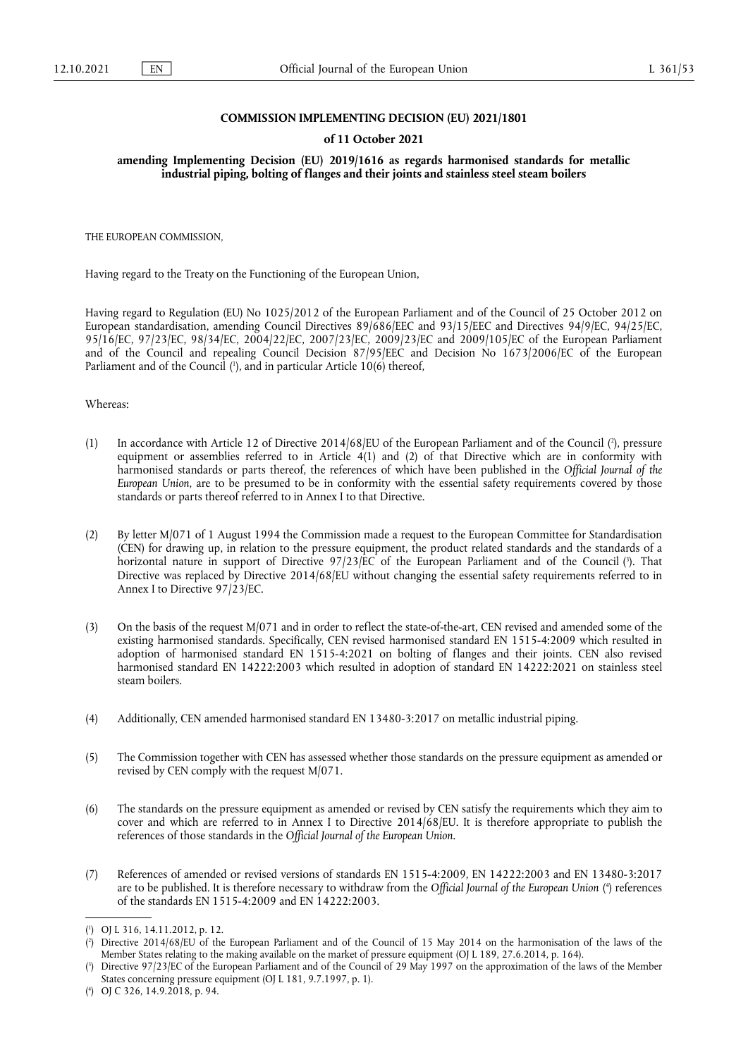## **COMMISSION IMPLEMENTING DECISION (EU) 2021/1801**

## **of 11 October 2021**

**amending Implementing Decision (EU) 2019/1616 as regards harmonised standards for metallic industrial piping, bolting of flanges and their joints and stainless steel steam boilers** 

THE EUROPEAN COMMISSION,

Having regard to the Treaty on the Functioning of the European Union,

Having regard to Regulation (EU) No 1025/2012 of the European Parliament and of the Council of 25 October 2012 on European standardisation, amending Council Directives 89/686/EEC and 93/15/EEC and Directives 94/9/EC, 94/25/EC, 95/16/EC, 97/23/EC, 98/34/EC, 2004/22/EC, 2007/23/EC, 2009/23/EC and 2009/105/EC of the European Parliament and of the Council and repealing Council Decision 87/95/EEC and Decision No 1673/2006/EC of the European Parliament and of the Council [\(](#page-0-0)'), and in particular Article 10(6) thereof,

<span id="page-0-4"></span>Whereas:

- <span id="page-0-5"></span>(1) In accordance with Article 12 of Directive 2014/68/EU of the European Parliament and of the Council [\(](#page-0-1) 2 ), pressure equipment or assemblies referred to in Article 4(1) and (2) of that Directive which are in conformity with harmonised standards or parts thereof, the references of which have been published in the *Official Journal of the European Union*, are to be presumed to be in conformity with the essential safety requirements covered by those standards or parts thereof referred to in Annex I to that Directive.
- <span id="page-0-6"></span>(2) By letter M/071 of 1 August 1994 the Commission made a request to the European Committee for Standardisation (CEN) for drawing up, in relation to the pressure equipment, the product related standards and the standards of a horizontal nature in support of Directive 97/23/EC of the European Parliament and of the Council ( 3 [\).](#page-0-2) That Directive was replaced by Directive 2014/68/EU without changing the essential safety requirements referred to in Annex I to Directive 97/23/EC.
- (3) On the basis of the request M/071 and in order to reflect the state-of-the-art, CEN revised and amended some of the existing harmonised standards. Specifically, CEN revised harmonised standard EN 1515-4:2009 which resulted in adoption of harmonised standard EN 1515-4:2021 on bolting of flanges and their joints. CEN also revised harmonised standard EN 14222:2003 which resulted in adoption of standard EN 14222:2021 on stainless steel steam boilers.
- (4) Additionally, CEN amended harmonised standard EN 13480-3:2017 on metallic industrial piping.
- (5) The Commission together with CEN has assessed whether those standards on the pressure equipment as amended or revised by CEN comply with the request M/071.
- (6) The standards on the pressure equipment as amended or revised by CEN satisfy the requirements which they aim to cover and which are referred to in Annex I to Directive 2014/68/EU. It is therefore appropriate to publish the references of those standards in the *Official Journal of the European Union*.
- <span id="page-0-7"></span>(7) References of amended or revised versions of standards EN 1515-4:2009, EN 14222:2003 and EN 13480-3:2017 are to be published. It is therefore necessary to withdraw from the *Official Journal of the European Union [\(](#page-0-3)*\*) references of the standards EN 1515-4:2009 and EN 14222:2003.

<span id="page-0-0"></span>[<sup>\(</sup>](#page-0-4) 1 ) OJ L 316, 14.11.2012, p. 12.

<span id="page-0-1"></span>[<sup>\(</sup>](#page-0-5) 2 ) Directive 2014/68/EU of the European Parliament and of the Council of 15 May 2014 on the harmonisation of the laws of the Member States relating to the making available on the market of pressure equipment (OJ L 189, 27.6.2014, p. 164).

<span id="page-0-2"></span>[<sup>\(</sup>](#page-0-6) 3 ) Directive 97/23/EC of the European Parliament and of the Council of 29 May 1997 on the approximation of the laws of the Member States concerning pressure equipment (OJ L 181, 9.7.1997, p. 1).

<span id="page-0-3"></span><sup>(</sup> 4 [\)](#page-0-7) OJ C 326, 14.9.2018, p. 94.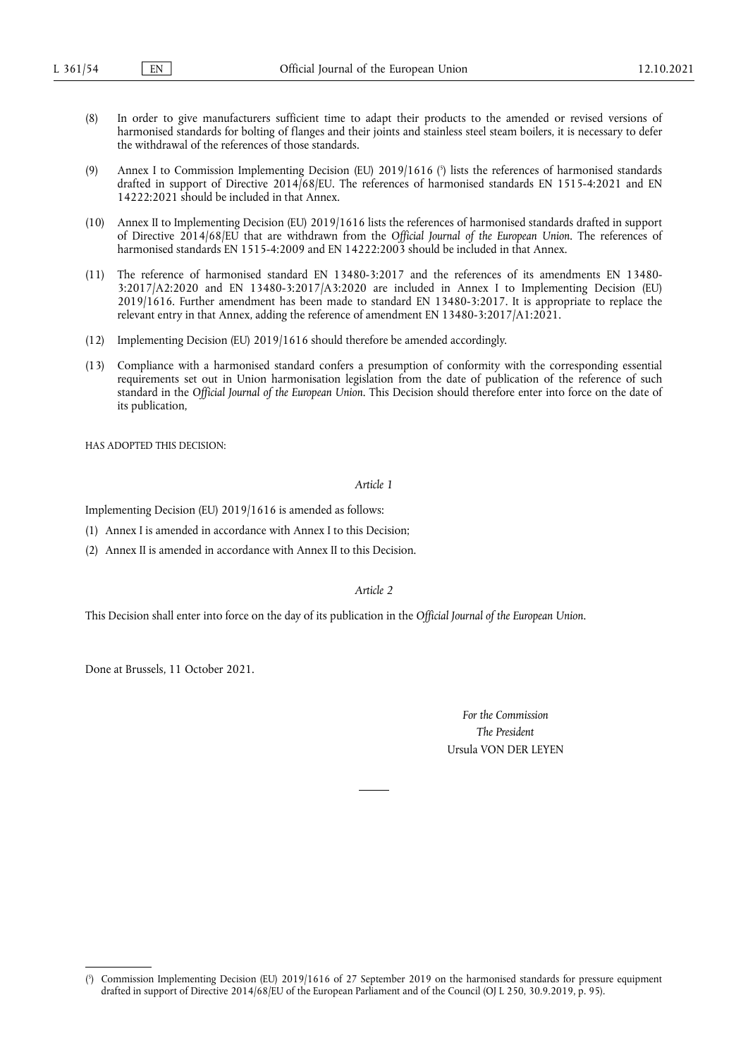- (8) In order to give manufacturers sufficient time to adapt their products to the amended or revised versions of harmonised standards for bolting of flanges and their joints and stainless steel steam boilers, it is necessary to defer the withdrawal of the references of those standards.
- <span id="page-1-1"></span>[\(](#page-1-0)9) Annex I to Commission Implementing Decision (EU)  $2019/1616$  ( $\degree$ ) lists the references of harmonised standards drafted in support of Directive 2014/68/EU. The references of harmonised standards EN 1515-4:2021 and EN 14222:2021 should be included in that Annex.
- (10) Annex II to Implementing Decision (EU) 2019/1616 lists the references of harmonised standards drafted in support of Directive 2014/68/EU that are withdrawn from the *Official Journal of the European Union*. The references of harmonised standards EN 1515-4:2009 and EN 14222:2003 should be included in that Annex.
- (11) The reference of harmonised standard EN 13480-3:2017 and the references of its amendments EN 13480- 3:2017/A2:2020 and EN 13480-3:2017/A3:2020 are included in Annex I to Implementing Decision (EU) 2019/1616. Further amendment has been made to standard EN 13480-3:2017. It is appropriate to replace the relevant entry in that Annex, adding the reference of amendment EN 13480-3:2017/A1:2021.
- (12) Implementing Decision (EU) 2019/1616 should therefore be amended accordingly.
- (13) Compliance with a harmonised standard confers a presumption of conformity with the corresponding essential requirements set out in Union harmonisation legislation from the date of publication of the reference of such standard in the *Official Journal of the European Union*. This Decision should therefore enter into force on the date of its publication,

HAS ADOPTED THIS DECISION:

*Article 1*

Implementing Decision (EU) 2019/1616 is amended as follows:

(1) Annex I is amended in accordance with Annex I to this Decision;

(2) Annex II is amended in accordance with Annex II to this Decision.

*Article 2*

This Decision shall enter into force on the day of its publication in the *Official Journal of the European Union*.

Done at Brussels, 11 October 2021.

*For the Commission The President* Ursula VON DER LEYEN

<span id="page-1-0"></span>[<sup>\(</sup>](#page-1-1) 5 ) Commission Implementing Decision (EU) 2019/1616 of 27 September 2019 on the harmonised standards for pressure equipment drafted in support of Directive 2014/68/EU of the European Parliament and of the Council (OJ L 250, 30.9.2019, p. 95).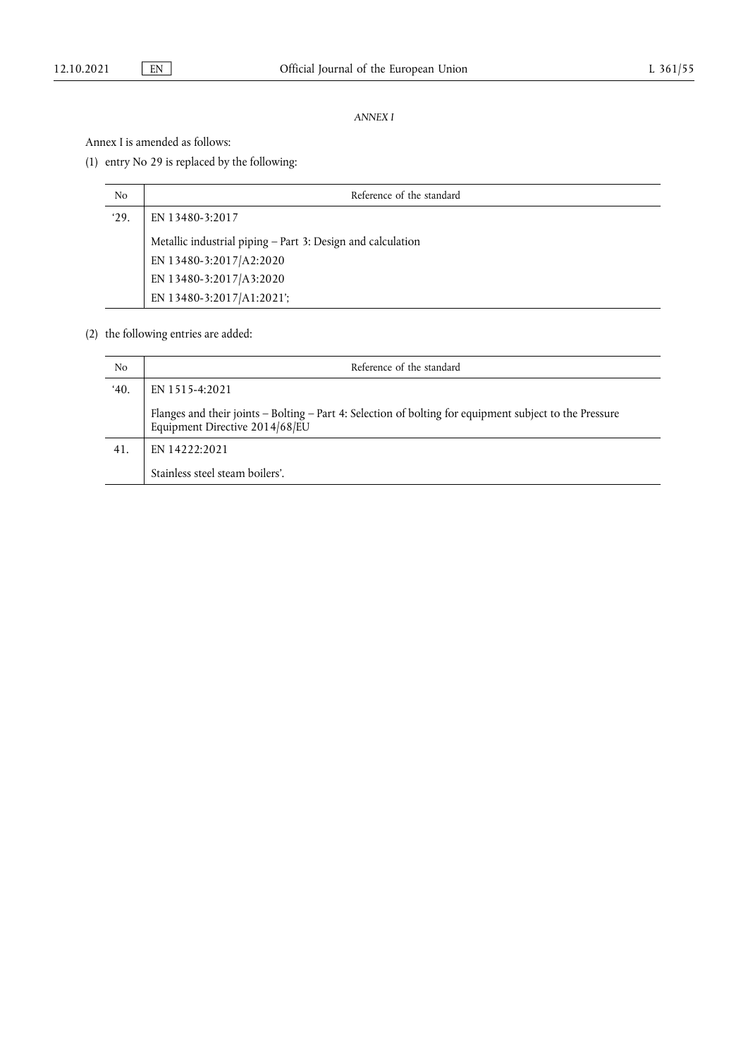## *ANNEX I*

Annex I is amended as follows:

(1) entry No 29 is replaced by the following:

| No   | Reference of the standard                                   |
|------|-------------------------------------------------------------|
| '29. | EN 13480-3:2017                                             |
|      | Metallic industrial piping - Part 3: Design and calculation |
|      | EN 13480-3:2017/A2:2020                                     |
|      | EN 13480-3:2017/A3:2020                                     |
|      | EN 13480-3:2017/A1:2021';                                   |

(2) the following entries are added:

| No  | Reference of the standard                                                                                                                 |
|-----|-------------------------------------------------------------------------------------------------------------------------------------------|
| 40. | EN 1515-4:2021                                                                                                                            |
|     | Flanges and their joints - Bolting - Part 4: Selection of bolting for equipment subject to the Pressure<br>Equipment Directive 2014/68/EU |
| 41. | EN 14222:2021                                                                                                                             |
|     | Stainless steel steam boilers'.                                                                                                           |